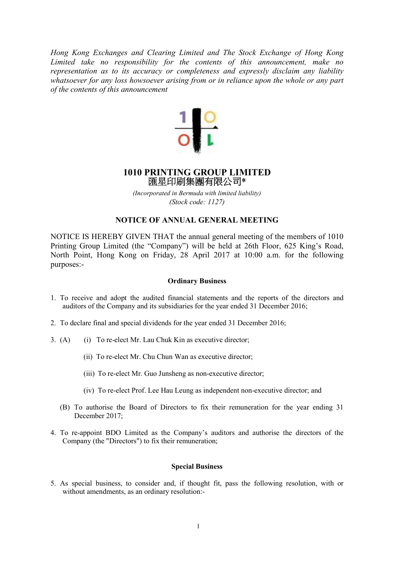*Hong Kong Exchanges and Clearing Limited and The Stock Exchange of Hong Kong Limited take no responsibility for the contents of this announcement, make no representation as to its accuracy or completeness and expressly disclaim any liability whatsoever for any loss howsoever arising from or in reliance upon the whole or any part of the contents of this announcement* 



# **1010 PRINTING GROUP LIMITED**  匯星印刷集團有限公司\*

*(Incorporated in Bermuda with limited liability) (Stock code: 1127)* 

# **NOTICE OF ANNUAL GENERAL MEETING**

NOTICE IS HEREBY GIVEN THAT the annual general meeting of the members of 1010 Printing Group Limited (the "Company") will be held at 26th Floor, 625 King's Road, North Point, Hong Kong on Friday, 28 April 2017 at 10:00 a.m. for the following purposes:-

#### **Ordinary Business**

- 1. To receive and adopt the audited financial statements and the reports of the directors and auditors of the Company and its subsidiaries for the year ended 31 December 2016;
- 2. To declare final and special dividends for the year ended 31 December 2016;
- 3. (A) (i) To re-elect Mr. Lau Chuk Kin as executive director;
	- (ii) To re-elect Mr. Chu Chun Wan as executive director;
	- (iii) To re-elect Mr. Guo Junsheng as non-executive director;
	- (iv) To re-elect Prof. Lee Hau Leung as independent non-executive director; and
	- (B) To authorise the Board of Directors to fix their remuneration for the year ending 31 December 2017;
- 4. To re-appoint BDO Limited as the Company's auditors and authorise the directors of the Company (the "Directors") to fix their remuneration;

#### **Special Business**

5. As special business, to consider and, if thought fit, pass the following resolution, with or without amendments, as an ordinary resolution:-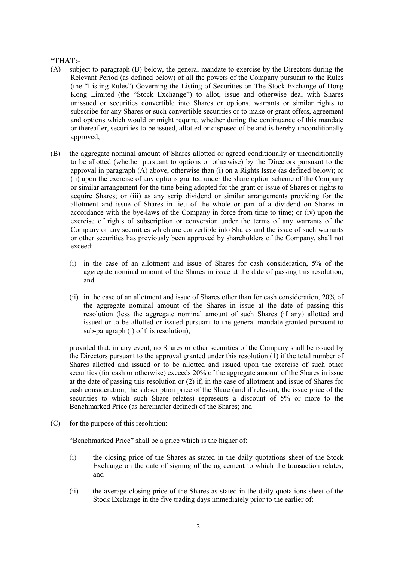## **"THAT:-**

- (A) subject to paragraph (B) below, the general mandate to exercise by the Directors during the Relevant Period (as defined below) of all the powers of the Company pursuant to the Rules (the "Listing Rules") Governing the Listing of Securities on The Stock Exchange of Hong Kong Limited (the "Stock Exchange") to allot, issue and otherwise deal with Shares unissued or securities convertible into Shares or options, warrants or similar rights to subscribe for any Shares or such convertible securities or to make or grant offers, agreement and options which would or might require, whether during the continuance of this mandate or thereafter, securities to be issued, allotted or disposed of be and is hereby unconditionally approved;
- (B) the aggregate nominal amount of Shares allotted or agreed conditionally or unconditionally to be allotted (whether pursuant to options or otherwise) by the Directors pursuant to the approval in paragraph (A) above, otherwise than (i) on a Rights Issue (as defined below); or (ii) upon the exercise of any options granted under the share option scheme of the Company or similar arrangement for the time being adopted for the grant or issue of Shares or rights to acquire Shares; or (iii) as any scrip dividend or similar arrangements providing for the allotment and issue of Shares in lieu of the whole or part of a dividend on Shares in accordance with the bye-laws of the Company in force from time to time; or (iv) upon the exercise of rights of subscription or conversion under the terms of any warrants of the Company or any securities which are convertible into Shares and the issue of such warrants or other securities has previously been approved by shareholders of the Company, shall not exceed:
	- (i) in the case of an allotment and issue of Shares for cash consideration, 5% of the aggregate nominal amount of the Shares in issue at the date of passing this resolution; and
	- (ii) in the case of an allotment and issue of Shares other than for cash consideration, 20% of the aggregate nominal amount of the Shares in issue at the date of passing this resolution (less the aggregate nominal amount of such Shares (if any) allotted and issued or to be allotted or issued pursuant to the general mandate granted pursuant to sub-paragraph (i) of this resolution),

provided that, in any event, no Shares or other securities of the Company shall be issued by the Directors pursuant to the approval granted under this resolution (1) if the total number of Shares allotted and issued or to be allotted and issued upon the exercise of such other securities (for cash or otherwise) exceeds 20% of the aggregate amount of the Shares in issue at the date of passing this resolution or (2) if, in the case of allotment and issue of Shares for cash consideration, the subscription price of the Share (and if relevant, the issue price of the securities to which such Share relates) represents a discount of 5% or more to the Benchmarked Price (as hereinafter defined) of the Shares; and

(C) for the purpose of this resolution:

"Benchmarked Price" shall be a price which is the higher of:

- (i) the closing price of the Shares as stated in the daily quotations sheet of the Stock Exchange on the date of signing of the agreement to which the transaction relates; and
- (ii) the average closing price of the Shares as stated in the daily quotations sheet of the Stock Exchange in the five trading days immediately prior to the earlier of: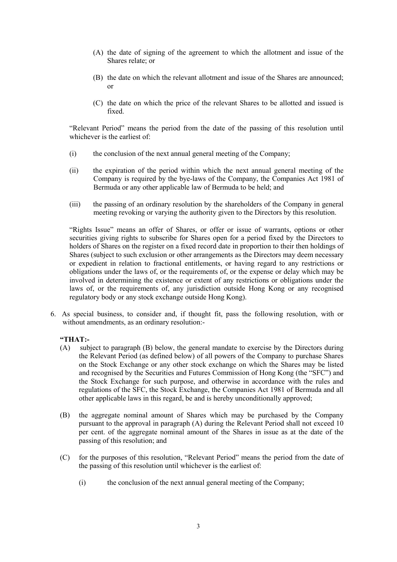- (A) the date of signing of the agreement to which the allotment and issue of the Shares relate; or
- (B) the date on which the relevant allotment and issue of the Shares are announced; or
- (C) the date on which the price of the relevant Shares to be allotted and issued is fixed.

"Relevant Period" means the period from the date of the passing of this resolution until whichever is the earliest of:

- (i) the conclusion of the next annual general meeting of the Company;
- (ii) the expiration of the period within which the next annual general meeting of the Company is required by the bye-laws of the Company, the Companies Act 1981 of Bermuda or any other applicable law of Bermuda to be held; and
- (iii) the passing of an ordinary resolution by the shareholders of the Company in general meeting revoking or varying the authority given to the Directors by this resolution.

"Rights Issue" means an offer of Shares, or offer or issue of warrants, options or other securities giving rights to subscribe for Shares open for a period fixed by the Directors to holders of Shares on the register on a fixed record date in proportion to their then holdings of Shares (subject to such exclusion or other arrangements as the Directors may deem necessary or expedient in relation to fractional entitlements, or having regard to any restrictions or obligations under the laws of, or the requirements of, or the expense or delay which may be involved in determining the existence or extent of any restrictions or obligations under the laws of, or the requirements of, any jurisdiction outside Hong Kong or any recognised regulatory body or any stock exchange outside Hong Kong).

6. As special business, to consider and, if thought fit, pass the following resolution, with or without amendments, as an ordinary resolution:-

### **"THAT:-**

- (A) subject to paragraph (B) below, the general mandate to exercise by the Directors during the Relevant Period (as defined below) of all powers of the Company to purchase Shares on the Stock Exchange or any other stock exchange on which the Shares may be listed and recognised by the Securities and Futures Commission of Hong Kong (the "SFC") and the Stock Exchange for such purpose, and otherwise in accordance with the rules and regulations of the SFC, the Stock Exchange, the Companies Act 1981 of Bermuda and all other applicable laws in this regard, be and is hereby unconditionally approved;
- (B) the aggregate nominal amount of Shares which may be purchased by the Company pursuant to the approval in paragraph (A) during the Relevant Period shall not exceed 10 per cent. of the aggregate nominal amount of the Shares in issue as at the date of the passing of this resolution; and
- (C) for the purposes of this resolution, "Relevant Period" means the period from the date of the passing of this resolution until whichever is the earliest of:
	- (i) the conclusion of the next annual general meeting of the Company;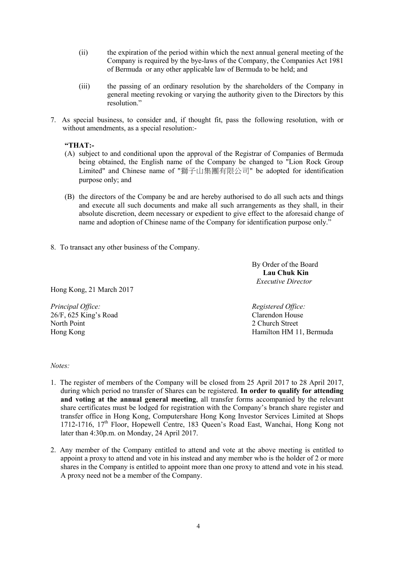- (ii) the expiration of the period within which the next annual general meeting of the Company is required by the bye-laws of the Company, the Companies Act 1981 of Bermuda or any other applicable law of Bermuda to be held; and
- (iii) the passing of an ordinary resolution by the shareholders of the Company in general meeting revoking or varying the authority given to the Directors by this resolution."
- 7. As special business, to consider and, if thought fit, pass the following resolution, with or without amendments, as a special resolution:-

# **"THAT:-**

- (A) subject to and conditional upon the approval of the Registrar of Companies of Bermuda being obtained, the English name of the Company be changed to "Lion Rock Group Limited" and Chinese name of "獅子山集團有限公司" be adopted for identification purpose only; and
- (B) the directors of the Company be and are hereby authorised to do all such acts and things and execute all such documents and make all such arrangements as they shall, in their absolute discretion, deem necessary or expedient to give effect to the aforesaid change of name and adoption of Chinese name of the Company for identification purpose only."
- 8. To transact any other business of the Company.

By Order of the Board **Lau Chuk Kin**  *Executive Director* 

Hong Kong, 21 March 2017

*Principal Office: Registered Office: Registered Office: Registered Office: Registered Office: Clarendon House*  $26/F$ , 625 King's Road North Point 2 Church Street

Hong Kong Hamilton HM 11, Bermuda

### *Notes:*

- 1. The register of members of the Company will be closed from 25 April 2017 to 28 April 2017, during which period no transfer of Shares can be registered. **In order to qualify for attending and voting at the annual general meeting**, all transfer forms accompanied by the relevant share certificates must be lodged for registration with the Company's branch share register and transfer office in Hong Kong, Computershare Hong Kong Investor Services Limited at Shops 1712-1716,  $17<sup>th</sup>$  Floor, Hopewell Centre, 183 Queen's Road East, Wanchai, Hong Kong not later than 4:30p.m. on Monday, 24 April 2017.
- 2. Any member of the Company entitled to attend and vote at the above meeting is entitled to appoint a proxy to attend and vote in his instead and any member who is the holder of 2 or more shares in the Company is entitled to appoint more than one proxy to attend and vote in his stead. A proxy need not be a member of the Company.